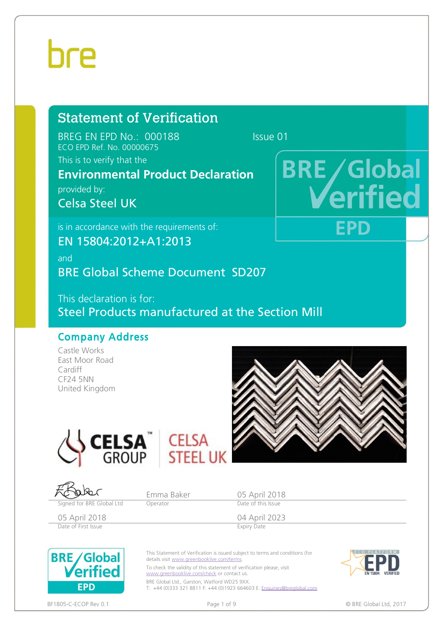# hre

# Statement of Verification

BREG EN EPD No.: 000188 Issue 01 ECO EPD Ref. No. 00000675

### This is to verify that the

# **Environmental Product Declaration**

provided by:

Celsa Steel UK

is in accordance with the requirements of:

EN 15804:2012+A1:2013

and

BRE Global Scheme Document SD207

This declaration is for: Steel Products manufactured at the Section Mill

### Company Address

Castle Works East Moor Road Cardiff CF24 5NN United Kingdom



**BRE/Global** 

EPD

fied







To check the validity of this statement of verification please, visit [www.greenbooklive.com/check](http://www.greenbooklive.com/check) or contact us.

BRE Global Ltd., Garston, Watford WD25 9XX. T: +44 (0)333 321 8811 F: +44 (0)1923 664603 E: [Enquiries@breglobal.com](mailto:Enquiries@breglobal.com)



BF1805-C-ECOP Rev 0.1 **Page 1 of 9** Page 1 of 9 **Page 1 of 9 © BRE Global Ltd, 2017** 

**EPD**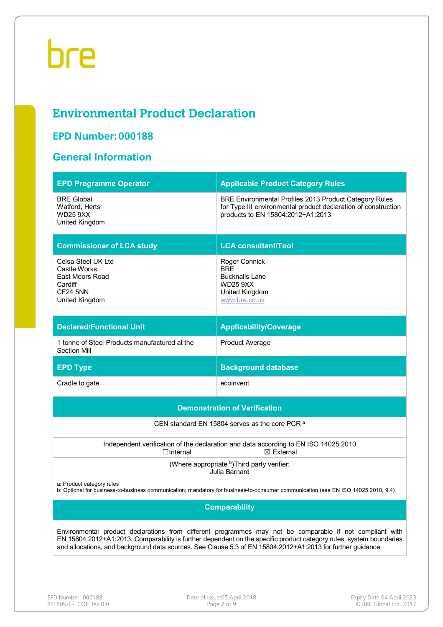# **Environmental Product Declaration**

## **EPD Number: 000188**

### **General Information**

| <b>EPD Programme Operator</b>                                                                                                                                                                                                                                                                                                                 | <b>Applicable Product Category Rules</b>                                                                                                                             |  |  |  |  |  |
|-----------------------------------------------------------------------------------------------------------------------------------------------------------------------------------------------------------------------------------------------------------------------------------------------------------------------------------------------|----------------------------------------------------------------------------------------------------------------------------------------------------------------------|--|--|--|--|--|
| <b>BRE Global</b><br>Watford, Herts<br><b>WD25 9XX</b><br>United Kingdom                                                                                                                                                                                                                                                                      | <b>BRE Environmental Profiles 2013 Product Category Rules</b><br>for Type III environmental product declaration of construction<br>products to EN 15804:2012+A1:2013 |  |  |  |  |  |
| <b>Commissioner of LCA study</b>                                                                                                                                                                                                                                                                                                              | <b>LCA consultant/Tool</b>                                                                                                                                           |  |  |  |  |  |
| Celsa Steel UK Ltd<br>Castle Works<br>East Moors Road<br>Cardiff<br><b>CF24 5NN</b><br>United Kingdom                                                                                                                                                                                                                                         | Roger Connick<br><b>BRE</b><br><b>Bucknalls Lane</b><br><b>WD25 9XX</b><br>United Kingdom<br>www.bre.co.uk                                                           |  |  |  |  |  |
| <b>Declared/Functional Unit</b>                                                                                                                                                                                                                                                                                                               | <b>Applicability/Coverage</b>                                                                                                                                        |  |  |  |  |  |
| 1 tonne of Steel Products manufactured at the<br>Section Mill                                                                                                                                                                                                                                                                                 | <b>Product Average</b>                                                                                                                                               |  |  |  |  |  |
| <b>EPD Type</b>                                                                                                                                                                                                                                                                                                                               | <b>Background database</b>                                                                                                                                           |  |  |  |  |  |
| Cradle to gate                                                                                                                                                                                                                                                                                                                                | ecoinvent                                                                                                                                                            |  |  |  |  |  |
|                                                                                                                                                                                                                                                                                                                                               | <b>Demonstration of Verification</b>                                                                                                                                 |  |  |  |  |  |
|                                                                                                                                                                                                                                                                                                                                               | CEN standard EN 15804 serves as the core PCR <sup>a</sup>                                                                                                            |  |  |  |  |  |
| $\Box$ Internal                                                                                                                                                                                                                                                                                                                               | Independent verification of the declaration and data according to EN ISO 14025:2010<br>$\boxtimes$ External                                                          |  |  |  |  |  |
|                                                                                                                                                                                                                                                                                                                                               | (Where appropriate b) Third party verifier:<br>Julia Barnard                                                                                                         |  |  |  |  |  |
| a: Product category rules<br>b: Optional for business-to-business communication; mandatory for business-to-consumer communication (see EN ISO 14025:2010, 9.4)                                                                                                                                                                                |                                                                                                                                                                      |  |  |  |  |  |
| <b>Comparability</b>                                                                                                                                                                                                                                                                                                                          |                                                                                                                                                                      |  |  |  |  |  |
| Environmental product declarations from different programmes may not be comparable if not compliant with<br>EN 15804:2012+A1:2013. Comparability is further dependent on the specific product category rules, system boundaries<br>and allocations, and background data sources. See Clause 5.3 of EN 15804:2012+A1:2013 for further guidance |                                                                                                                                                                      |  |  |  |  |  |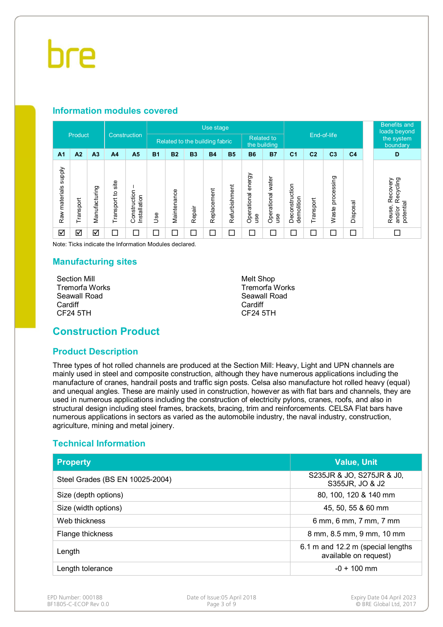### **Information modules covered**

|                            |                         |                |                      |                              |            |                                |           | Use stage   |               |                                   |                          |                              |                |                     |                | <b>Benefits and</b><br>loads beyond                    |
|----------------------------|-------------------------|----------------|----------------------|------------------------------|------------|--------------------------------|-----------|-------------|---------------|-----------------------------------|--------------------------|------------------------------|----------------|---------------------|----------------|--------------------------------------------------------|
|                            | Product                 |                | Construction         |                              |            | Related to the building fabric |           |             |               | <b>Related to</b><br>the building |                          |                              | End-of-life    |                     |                | the system<br>boundary                                 |
| A <sub>1</sub>             | A2                      | A <sub>3</sub> | A <sub>4</sub>       | A <sub>5</sub>               | <b>B1</b>  | <b>B2</b>                      | <b>B3</b> | <b>B4</b>   | <b>B5</b>     | <b>B6</b>                         | <b>B7</b>                | C <sub>1</sub>               | C <sub>2</sub> | C <sub>3</sub>      | C <sub>4</sub> | D                                                      |
| supply<br>materials<br>Raw | Transport               | Manufacturing  | site<br>Transport to | Construction<br>Installation | <b>Jse</b> | Maintenance                    | Repair    | Replacement | Refurbishment | energy<br>Operational<br>use      | Operational water<br>use | Deconstruction<br>demolition | Transport      | processing<br>Waste | Disposal       | Recycling<br>Recovery<br>potential<br>Reuse,<br>and/or |
| ☑                          | $\overline{\mathsf{S}}$ | ☑              | ⊏                    | $\Box$                       | 口          | $\Box$                         | $\Box$    | $\Box$      | □             | $\Box$                            | $\Box$                   | ⊏                            | Г              | Г                   | $\Box$         | П                                                      |

Note: Ticks indicate the Information Modules declared.

#### **Manufacturing sites**

Section Mill Tremorfa Works Seawall Road **Cardiff** CF24 5TH

Melt Shop Tremorfa Works Seawall Road Cardiff CF24 5TH

### **Construction Product**

### **Product Description**

Three types of hot rolled channels are produced at the Section Mill: Heavy, Light and UPN channels are mainly used in steel and composite construction, although they have numerous applications including the manufacture of cranes, handrail posts and traffic sign posts. Celsa also manufacture hot rolled heavy (equal) and unequal angles. These are mainly used in construction, however as with flat bars and channels, they are used in numerous applications including the construction of electricity pylons, cranes, roofs, and also in structural design including steel frames, brackets, bracing, trim and reinforcements. CELSA Flat bars have numerous applications in sectors as varied as the automobile industry, the naval industry, construction, agriculture, mining and metal joinery.

### **Technical Information**

| <b>Property</b>                 | <b>Value, Unit</b>                                         |
|---------------------------------|------------------------------------------------------------|
| Steel Grades (BS EN 10025-2004) | S235JR & JO, S275JR & J0,<br>S355JR, JO & J2               |
| Size (depth options)            | 80, 100, 120 & 140 mm                                      |
| Size (width options)            | 45, 50, 55 & 60 mm                                         |
| Web thickness                   | 6 mm, 6 mm, 7 mm, 7 mm                                     |
| Flange thickness                | 8 mm, 8.5 mm, 9 mm, 10 mm                                  |
| Length                          | 6.1 m and 12.2 m (special lengths<br>available on request) |
| Length tolerance                | $-0 + 100$ mm                                              |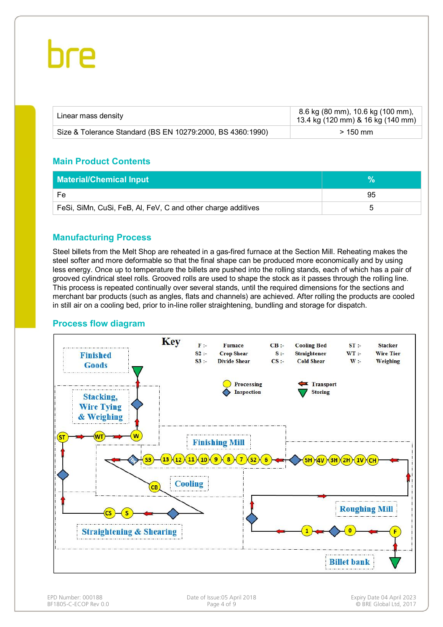| Linear mass density                                        | 8.6 kg (80 mm), 10.6 kg (100 mm),<br>13.4 kg (120 mm) & 16 kg (140 mm) |
|------------------------------------------------------------|------------------------------------------------------------------------|
| Size & Tolerance Standard (BS EN 10279:2000, BS 4360:1990) | $>150$ mm                                                              |

### **Main Product Contents**

| <b>Material/Chemical Input</b>                               |    |
|--------------------------------------------------------------|----|
| Fe                                                           | 95 |
| FeSi, SiMn, CuSi, FeB, AI, FeV, C and other charge additives |    |

### **Manufacturing Process**

Steel billets from the Melt Shop are reheated in a gas-fired furnace at the Section Mill. Reheating makes the steel softer and more deformable so that the final shape can be produced more economically and by using less energy. Once up to temperature the billets are pushed into the rolling stands, each of which has a pair of grooved cylindrical steel rolls. Grooved rolls are used to shape the stock as it passes through the rolling line. This process is repeated continually over several stands, until the required dimensions for the sections and merchant bar products (such as angles, flats and channels) are achieved. After rolling the products are cooled in still air on a cooling bed, prior to in-line roller straightening, bundling and storage for dispatch.

#### **Process flow diagram**

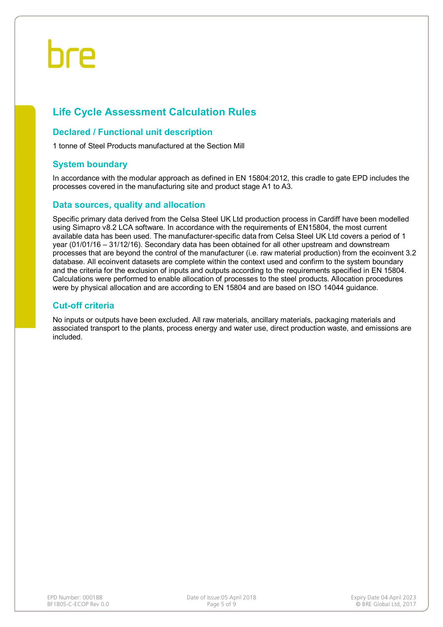## **Life Cycle Assessment Calculation Rules**

#### **Declared / Functional unit description**

1 tonne of Steel Products manufactured at the Section Mill

### **System boundary**

In accordance with the modular approach as defined in EN 15804:2012, this cradle to gate EPD includes the processes covered in the manufacturing site and product stage A1 to A3.

#### **Data sources, quality and allocation**

Specific primary data derived from the Celsa Steel UK Ltd production process in Cardiff have been modelled using Simapro v8.2 LCA software. In accordance with the requirements of EN15804, the most current available data has been used. The manufacturer-specific data from Celsa Steel UK Ltd covers a period of 1 year (01/01/16 – 31/12/16). Secondary data has been obtained for all other upstream and downstream processes that are beyond the control of the manufacturer (i.e. raw material production) from the ecoinvent 3.2 database. All ecoinvent datasets are complete within the context used and confirm to the system boundary and the criteria for the exclusion of inputs and outputs according to the requirements specified in EN 15804. Calculations were performed to enable allocation of processes to the steel products. Allocation procedures were by physical allocation and are according to EN 15804 and are based on ISO 14044 guidance.

### **Cut-off criteria**

No inputs or outputs have been excluded. All raw materials, ancillary materials, packaging materials and associated transport to the plants, process energy and water use, direct production waste, and emissions are included.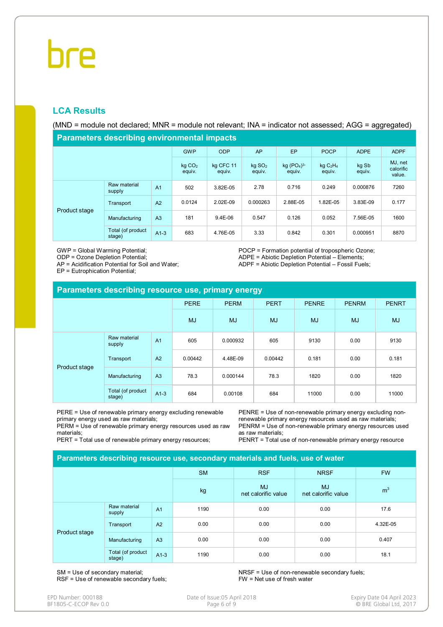### **LCA Results**

(MND = module not declared; MNR = module not relevant; INA = indicator not assessed; AGG = aggregated)

**Parameters describing environmental impacts**

| <b>1 and Hotel State and The Common State of Automobile 1</b> |                              |                     |                                |                        |                         |                 |                                |          |       |  |
|---------------------------------------------------------------|------------------------------|---------------------|--------------------------------|------------------------|-------------------------|-----------------|--------------------------------|----------|-------|--|
|                                                               | <b>GWP</b>                   | <b>ODP</b>          | AP                             | EP                     | <b>POCP</b>             | <b>ADPE</b>     | <b>ADPF</b>                    |          |       |  |
|                                                               | kg CO <sub>2</sub><br>equiv. | kg CFC 11<br>equiv. | $kq$ SO <sub>2</sub><br>equiv. | $kq (PO4)3-$<br>equiv. | $kq$ $C_2H_4$<br>equiv. | kg Sb<br>equiv. | MJ, net<br>calorific<br>value. |          |       |  |
| Product stage                                                 | Raw material<br>supply       | A <sub>1</sub>      | 502                            | 3.82E-05               | 2.78                    | 0.716           | 0.249                          | 0.000876 | 7260  |  |
|                                                               | Transport                    | A2                  | 0.0124                         | 2.02E-09               | 0.000263                | 2.88E-05        | 1.82E-05                       | 3.83E-09 | 0.177 |  |
|                                                               | Manufacturing                | A <sub>3</sub>      | 181                            | $9.4E-06$              | 0.547                   | 0.126           | 0.052                          | 7.56E-05 | 1600  |  |
|                                                               | Total (of product<br>stage)  | $A1-3$              | 683                            | 4.76E-05               | 3.33                    | 0.842           | 0.301                          | 0.000951 | 8870  |  |

GWP = Global Warming Potential;

ODP = Ozone Depletion Potential;

AP = Acidification Potential for Soil and Water;

EP = Eutrophication Potential;

POCP = Formation potential of tropospheric Ozone; ADPE = Abiotic Depletion Potential – Elements; ADPF = Abiotic Depletion Potential – Fossil Fuels;

| Parameters describing resource use, primary energy |                             |                |             |             |             |              |              |              |  |  |
|----------------------------------------------------|-----------------------------|----------------|-------------|-------------|-------------|--------------|--------------|--------------|--|--|
|                                                    |                             |                | <b>PERE</b> | <b>PERM</b> | <b>PERT</b> | <b>PENRE</b> | <b>PENRM</b> | <b>PENRT</b> |  |  |
|                                                    |                             |                | <b>MJ</b>   | <b>MJ</b>   | <b>MJ</b>   | <b>MJ</b>    | <b>MJ</b>    | <b>MJ</b>    |  |  |
| Product stage                                      | Raw material<br>supply      | A <sub>1</sub> | 605         | 0.000932    | 605         | 9130         | 0.00         | 9130         |  |  |
|                                                    | Transport                   | A2             | 0.00442     | 4.48E-09    | 0.00442     | 0.181        | 0.00         | 0.181        |  |  |
|                                                    | Manufacturing               | A <sub>3</sub> | 78.3        | 0.000144    | 78.3        | 1820         | 0.00         | 1820         |  |  |
|                                                    | Total (of product<br>stage) | $A1-3$         | 684         | 0.00108     | 684         | 11000        | 0.00         | 11000        |  |  |

PERE = Use of renewable primary energy excluding renewable primary energy used as raw materials;

PERM = Use of renewable primary energy resources used as raw materials;

PERT = Total use of renewable primary energy resources;

PENRE = Use of non-renewable primary energy excluding nonrenewable primary energy resources used as raw materials; PENRM = Use of non-renewable primary energy resources used as raw materials;

PENRT = Total use of non-renewable primary energy resource

| Parameters describing resource use, secondary materials and fuels, use of water |                             |                |           |                                  |                                  |                |  |  |  |
|---------------------------------------------------------------------------------|-----------------------------|----------------|-----------|----------------------------------|----------------------------------|----------------|--|--|--|
|                                                                                 |                             |                | <b>SM</b> | <b>RSF</b>                       | <b>NRSF</b>                      | <b>FW</b>      |  |  |  |
|                                                                                 |                             |                | kg        | <b>MJ</b><br>net calorific value | <b>MJ</b><br>net calorific value | m <sup>3</sup> |  |  |  |
|                                                                                 | Raw material<br>supply      | A <sub>1</sub> | 1190      | 0.00                             | 0.00                             | 17.6           |  |  |  |
| Product stage                                                                   | Transport                   | A2             | 0.00      | 0.00                             | 0.00                             | 4.32E-05       |  |  |  |
|                                                                                 | Manufacturing               | A <sub>3</sub> | 0.00      | 0.00                             | 0.00                             | 0.407          |  |  |  |
|                                                                                 | Total (of product<br>stage) | $A1-3$         | 1190      | 0.00                             | 0.00                             | 18.1           |  |  |  |

SM = Use of secondary material; RSF = Use of renewable secondary fuels; NRSF = Use of non-renewable secondary fuels; FW = Net use of fresh water

| EPD Number: 000188    |  |
|-----------------------|--|
| BF1805-C-ECOP Rev 0.0 |  |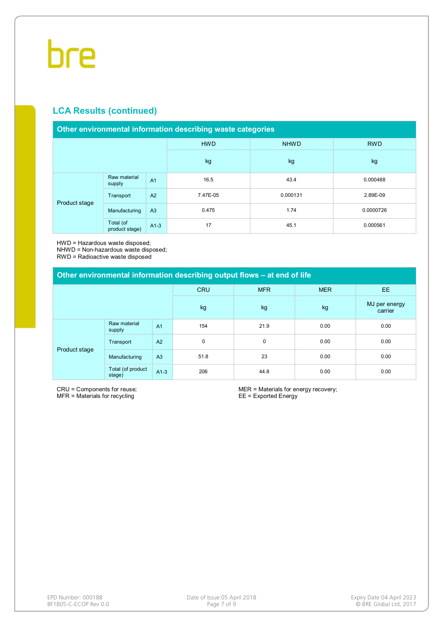### **LCA Results (continued)**

#### **Other environmental information describing waste categories**

|               |                             |                | <b>HWD</b> | <b>NHWD</b> | <b>RWD</b> |  |
|---------------|-----------------------------|----------------|------------|-------------|------------|--|
|               |                             |                | kg         | kg          | kg         |  |
| Product stage | Raw material<br>supply      | A <sub>1</sub> | 16.5       | 43.4        | 0.000488   |  |
|               | Transport                   | A2             | 7.47E-05   | 0.000131    | 2.89E-09   |  |
|               | Manufacturing               | A3             | 0.475      | 1.74        | 0.0000726  |  |
|               | Total (of<br>product stage) | $A1-3$         | 17         | 45.1        | 0.000561   |  |

HWD = Hazardous waste disposed;

NHWD = Non-hazardous waste disposed;

RWD = Radioactive waste disposed

| Other environmental information describing output flows - at end of life |                             |                |            |            |            |                          |  |  |  |
|--------------------------------------------------------------------------|-----------------------------|----------------|------------|------------|------------|--------------------------|--|--|--|
|                                                                          |                             |                | <b>CRU</b> | <b>MFR</b> | <b>MER</b> | <b>EE</b>                |  |  |  |
|                                                                          |                             |                | kg         | kg         | kg         | MJ per energy<br>carrier |  |  |  |
| Product stage                                                            | Raw material<br>supply      | A <sub>1</sub> | 154        | 21.9       | 0.00       | 0.00                     |  |  |  |
|                                                                          | Transport                   | A2             | 0          | 0          | 0.00       | 0.00                     |  |  |  |
|                                                                          | Manufacturing               | A <sub>3</sub> | 51.8       | 23         | 0.00       | 0.00                     |  |  |  |
|                                                                          | Total (of product<br>stage) | $A1-3$         | 206        | 44.8       | 0.00       | 0.00                     |  |  |  |

CRU = Components for reuse; MFR = Materials for recycling

MER = Materials for energy recovery; EE = Exported Energy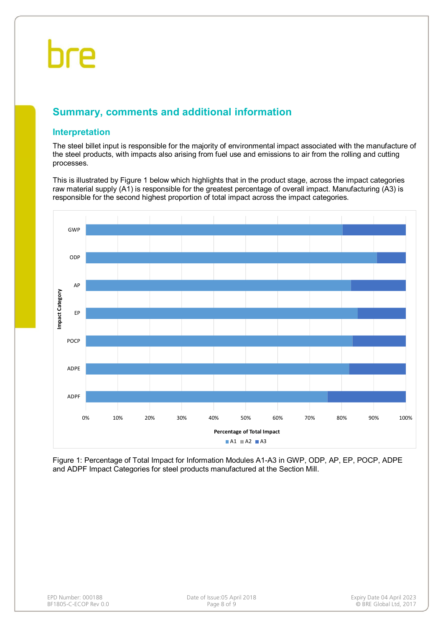## **Summary, comments and additional information**

### **Interpretation**

The steel billet input is responsible for the majority of environmental impact associated with the manufacture of the steel products, with impacts also arising from fuel use and emissions to air from the rolling and cutting processes.

This is illustrated by Figure 1 below which highlights that in the product stage, across the impact categories raw material supply (A1) is responsible for the greatest percentage of overall impact. Manufacturing (A3) is responsible for the second highest proportion of total impact across the impact categories.



Figure 1: Percentage of Total Impact for Information Modules A1-A3 in GWP, ODP, AP, EP, POCP, ADPE and ADPF Impact Categories for steel products manufactured at the Section Mill.